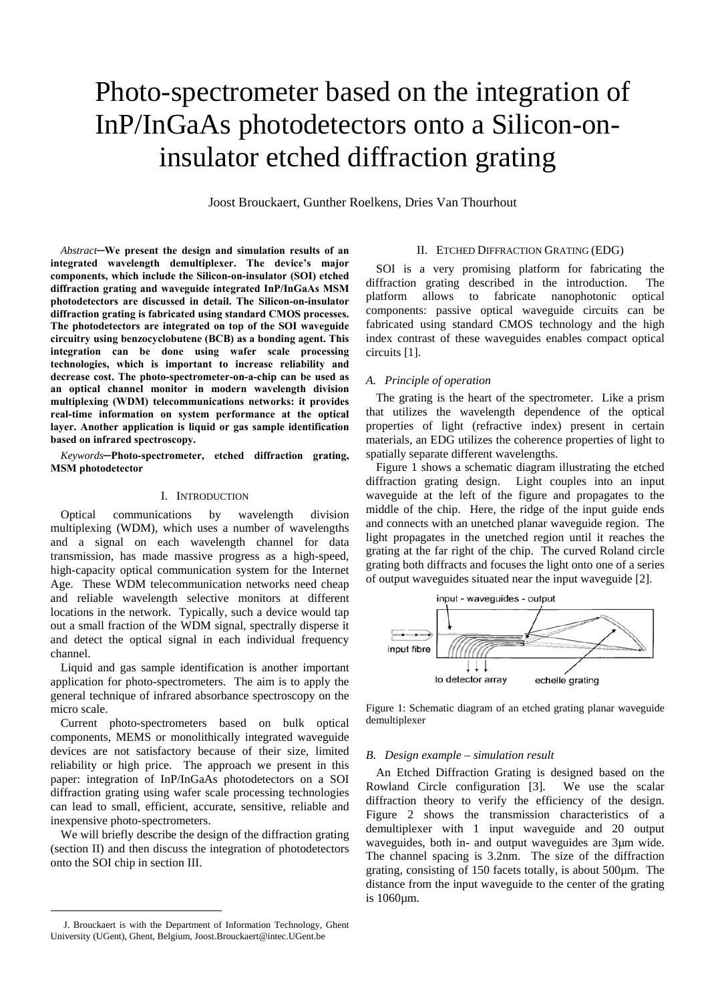# Photo-spectrometer based on the integration of InP/InGaAs photodetectors onto a Silicon-oninsulator etched diffraction grating

Joost Brouckaert, Gunther Roelkens, Dries Van Thourhout

*Abstract***─We present the design and simulation results of an integrated wavelength demultiplexer. The device's major components, which include the Silicon-on-insulator (SOI) etched diffraction grating and waveguide integrated InP/InGaAs MSM photodetectors are discussed in detail. The Silicon-on-insulator diffraction grating is fabricated using standard CMOS processes. The photodetectors are integrated on top of the SOI waveguide circuitry using benzocyclobutene (BCB) as a bonding agent. This integration can be done using wafer scale processing technologies, which is important to increase reliability and decrease cost. The photo-spectrometer-on-a-chip can be used as an optical channel monitor in modern wavelength division multiplexing (WDM) telecommunications networks: it provides real-time information on system performance at the optical layer. Another application is liquid or gas sample identification based on infrared spectroscopy.** 

*Keywords***─Photo-spectrometer, etched diffraction grating, MSM photodetector** 

# I. INTRODUCTION

Optical communications by wavelength division multiplexing (WDM), which uses a number of wavelengths and a signal on each wavelength channel for data transmission, has made massive progress as a high-speed, high-capacity optical communication system for the Internet Age. These WDM telecommunication networks need cheap and reliable wavelength selective monitors at different locations in the network. Typically, such a device would tap out a small fraction of the WDM signal, spectrally disperse it and detect the optical signal in each individual frequency channel.

Liquid and gas sample identification is another important application for photo-spectrometers. The aim is to apply the general technique of infrared absorbance spectroscopy on the micro scale.

Current photo-spectrometers based on bulk optical components, MEMS or monolithically integrated waveguide devices are not satisfactory because of their size, limited reliability or high price. The approach we present in this paper: integration of InP/InGaAs photodetectors on a SOI diffraction grating using wafer scale processing technologies can lead to small, efficient, accurate, sensitive, reliable and inexpensive photo-spectrometers.

We will briefly describe the design of the diffraction grating (section II) and then discuss the integration of photodetectors onto the SOI chip in section III.

 $\overline{a}$ 

# II. ETCHED DIFFRACTION GRATING (EDG)

SOI is a very promising platform for fabricating the diffraction grating described in the introduction. The platform allows to fabricate nanophotonic optical components: passive optical waveguide circuits can be fabricated using standard CMOS technology and the high index contrast of these waveguides enables compact optical circuits [1].

# *A. Principle of operation*

The grating is the heart of the spectrometer. Like a prism that utilizes the wavelength dependence of the optical properties of light (refractive index) present in certain materials, an EDG utilizes the coherence properties of light to spatially separate different wavelengths.

[Figure 1](#page-0-0) shows a schematic diagram illustrating the etched diffraction grating design. Light couples into an input waveguide at the left of the figure and propagates to the middle of the chip. Here, the ridge of the input guide ends and connects with an unetched planar waveguide region. The light propagates in the unetched region until it reaches the grating at the far right of the chip. The curved Roland circle grating both diffracts and focuses the light onto one of a series of output waveguides situated near the input waveguide [2].

<span id="page-0-0"></span>

Figure 1: Schematic diagram of an etched grating planar waveguide demultiplexer

# *B. Design example – simulation result*

An Etched Diffraction Grating is designed based on the Rowland Circle configuration [3]. We use the scalar diffraction theory to verify the efficiency of the design. [Figure 2](#page-1-0) shows the transmission characteristics of a demultiplexer with 1 input waveguide and 20 output waveguides, both in- and output waveguides are 3µm wide. The channel spacing is 3.2nm. The size of the diffraction grating, consisting of 150 facets totally, is about 500µm. The distance from the input waveguide to the center of the grating is 1060µm.

<span id="page-0-1"></span>J. Brouckaert is with the Department of Information Technology, Ghent University (UGent), Ghent, Belgium, Joost.Brouckaert@intec.UGent.be